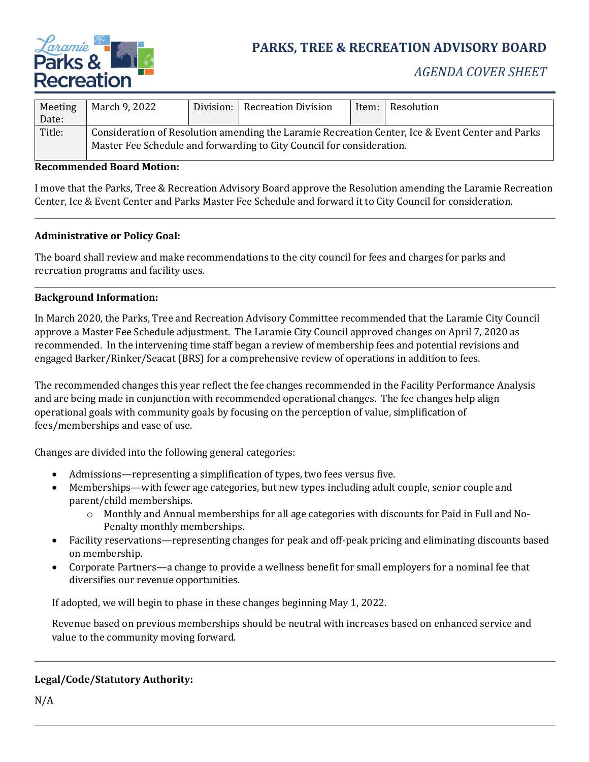

# **PARKS, TREE & RECREATION ADVISORY BOARD**

## *AGENDA COVER SHEET*

| Meeting<br>Date: | March 9, 2022                                                                                                                                                             | Division: | <b>Recreation Division</b> | Item: | Resolution |
|------------------|---------------------------------------------------------------------------------------------------------------------------------------------------------------------------|-----------|----------------------------|-------|------------|
| Title:           | Consideration of Resolution amending the Laramie Recreation Center, Ice & Event Center and Parks<br>Master Fee Schedule and forwarding to City Council for consideration. |           |                            |       |            |

## **Recommended Board Motion:**

I move that the Parks, Tree & Recreation Advisory Board approve the Resolution amending the Laramie Recreation Center, Ice & Event Center and Parks Master Fee Schedule and forward it to City Council for consideration.

#### **Administrative or Policy Goal:**

The board shall review and make recommendations to the city council for fees and charges for parks and recreation programs and facility uses.

#### **Background Information:**

In March 2020, the Parks, Tree and Recreation Advisory Committee recommended that the Laramie City Council approve a Master Fee Schedule adjustment. The Laramie City Council approved changes on April 7, 2020 as recommended. In the intervening time staff began a review of membership fees and potential revisions and engaged Barker/Rinker/Seacat (BRS) for a comprehensive review of operations in addition to fees.

The recommended changes this year reflect the fee changes recommended in the Facility Performance Analysis and are being made in conjunction with recommended operational changes. The fee changes help align operational goals with community goals by focusing on the perception of value, simplification of fees/memberships and ease of use.

Changes are divided into the following general categories:

- Admissions—representing a simplification of types, two fees versus five.
- Memberships—with fewer age categories, but new types including adult couple, senior couple and parent/child memberships.
	- o Monthly and Annual memberships for all age categories with discounts for Paid in Full and No-Penalty monthly memberships.
- Facility reservations—representing changes for peak and off-peak pricing and eliminating discounts based on membership.
- Corporate Partners—a change to provide a wellness benefit for small employers for a nominal fee that diversifies our revenue opportunities.

If adopted, we will begin to phase in these changes beginning May 1, 2022.

Revenue based on previous memberships should be neutral with increases based on enhanced service and value to the community moving forward.

## **Legal/Code/Statutory Authority:**